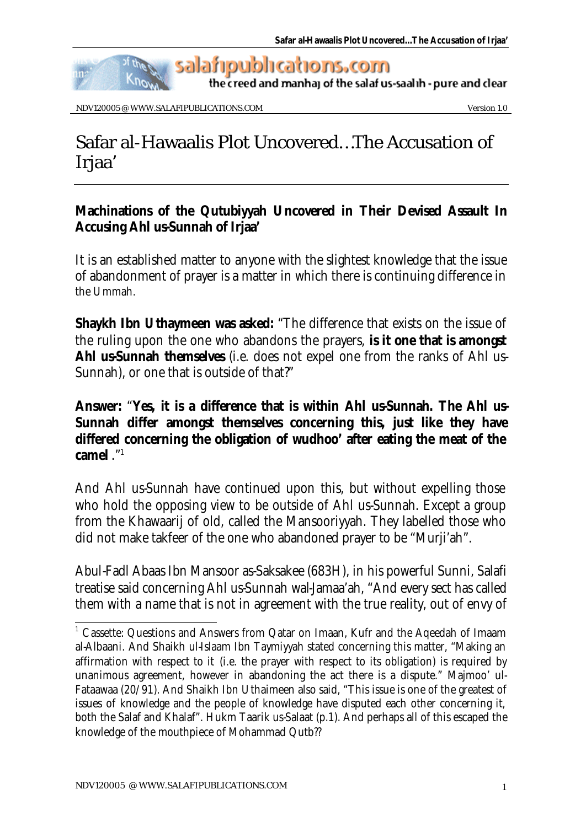

NDV120005 @ WWW.SALAFIPUBLICATIONS.COM Version 1.0

## Safar al-Hawaalis Plot Uncovered…The Accusation of Irjaa'

## **Machinations of the Qutubiyyah Uncovered in Their Devised Assault In Accusing Ahl us-Sunnah of Irjaa'**

It is an established matter to anyone with the slightest knowledge that the issue of abandonment of prayer is a matter in which there is continuing difference in the Ummah.

**Shaykh Ibn Uthaymeen was asked:** "The difference that exists on the issue of the ruling upon the one who abandons the prayers, **is it one that is amongst Ahl us-Sunnah themselves** (i.e. does not expel one from the ranks of Ahl us-Sunnah), or one that is outside of that?"

## **Answer:** "**Yes, it is a difference that is within Ahl us-Sunnah. The Ahl us-Sunnah differ amongst themselves concerning this, just like they have differed concerning the obligation of wudhoo' after eating the meat of the camel** ."<sup>1</sup>

And Ahl us-Sunnah have continued upon this, but without expelling those who hold the opposing view to be outside of Ahl us-Sunnah. Except a group from the Khawaarij of old, called the Mansooriyyah. They labelled those who did not make takfeer of the one who abandoned prayer to be "Murji'ah".

Abul-Fadl Abaas Ibn Mansoor as-Saksakee (683H), in his powerful Sunni, Salafi treatise said concerning Ahl us-Sunnah wal-Jamaa'ah, "And every sect has called them with a name that is not in agreement with the true reality, out of envy of

l

<sup>&</sup>lt;sup>1</sup> Cassette: Questions and Answers from Qatar on Imaan, Kufr and the Aqeedah of Imaam al-Albaani. And Shaikh ul-Islaam Ibn Taymiyyah stated concerning this matter, "Making an affirmation with respect to it (i.e. the prayer with respect to its obligation) is required by unanimous agreement, however in abandoning the act there is a dispute." Majmoo' ul-Fataawaa (20/91). And Shaikh Ibn Uthaimeen also said, "This issue is one of the greatest of issues of knowledge and the people of knowledge have disputed each other concerning it, both the Salaf and Khalaf". Hukm Taarik us-Salaat (p.1). And perhaps all of this escaped the knowledge of the mouthpiece of Mohammad Qutb??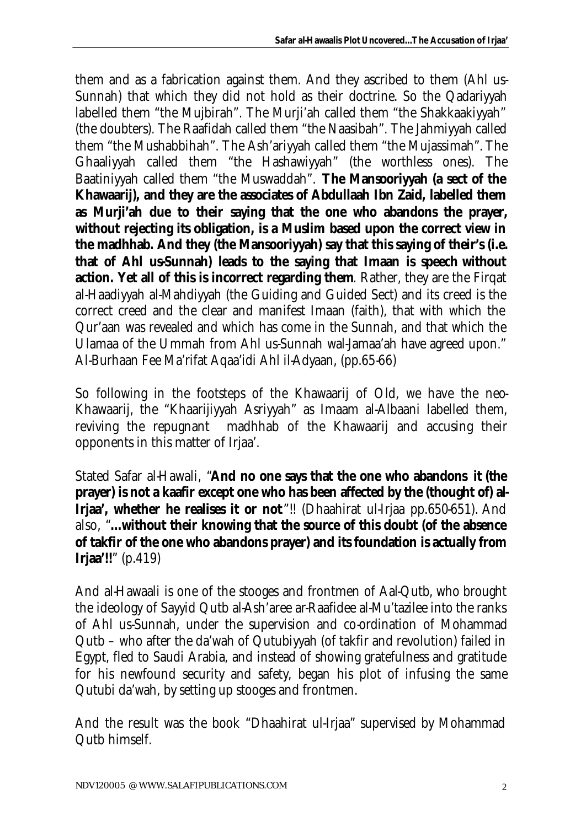them and as a fabrication against them. And they ascribed to them (Ahl us-Sunnah) that which they did not hold as their doctrine. So the Qadariyyah labelled them "the Mujbirah". The Murji'ah called them "the Shakkaakiyyah" (the doubters). The Raafidah called them "the Naasibah". The Jahmiyyah called them "the Mushabbihah". The Ash'ariyyah called them "the Mujassimah". The Ghaaliyyah called them "the Hashawiyyah" (the worthless ones). The Baatiniyyah called them "the Muswaddah". **The Mansooriyyah (a sect of the Khawaarij), and they are the associates of Abdullaah Ibn Zaid, labelled them as Murji'ah due to their saying that the one who abandons the prayer, without rejecting its obligation, is a Muslim based upon the correct view in the madhhab. And they (the Mansooriyyah) say that this saying of their's (i.e. that of Ahl us-Sunnah) leads to the saying that Imaan is speech without action. Yet all of this is incorrect regarding them**. Rather, they are the Firqat al-Haadiyyah al-Mahdiyyah (the Guiding and Guided Sect) and its creed is the correct creed and the clear and manifest Imaan (faith), that with which the Qur'aan was revealed and which has come in the Sunnah, and that which the Ulamaa of the Ummah from Ahl us-Sunnah wal-Jamaa'ah have agreed upon." Al-Burhaan Fee Ma'rifat Aqaa'idi Ahl il-Adyaan, (pp.65-66)

So following in the footsteps of the Khawaarij of Old, we have the neo-Khawaarij, the "Khaarijiyyah Asriyyah" as Imaam al-Albaani labelled them, reviving the repugnant madhhab of the Khawaarij and accusing their opponents in this matter of Irjaa'.

Stated Safar al-Hawali, "**And no one says that the one who abandons it (the prayer) is not a kaafir except one who has been affected by the (thought of) al-Irjaa', whether he realises it or not**"!! (Dhaahirat ul-Irjaa pp.650-651). And also, "**…without their knowing that the source of this doubt (of the absence of takfir of the one who abandons prayer) and its foundation is actually from Irjaa'!!**" (p.419)

And al-Hawaali is one of the stooges and frontmen of Aal-Qutb, who brought the ideology of Sayyid Qutb al-Ash'aree ar-Raafidee al-Mu'tazilee into the ranks of Ahl us-Sunnah, under the supervision and co-ordination of Mohammad Qutb – who after the da'wah of Qutubiyyah (of takfir and revolution) failed in Egypt, fled to Saudi Arabia, and instead of showing gratefulness and gratitude for his newfound security and safety, began his plot of infusing the same Qutubi da'wah, by setting up stooges and frontmen.

And the result was the book "Dhaahirat ul-Irjaa" supervised by Mohammad Qutb himself.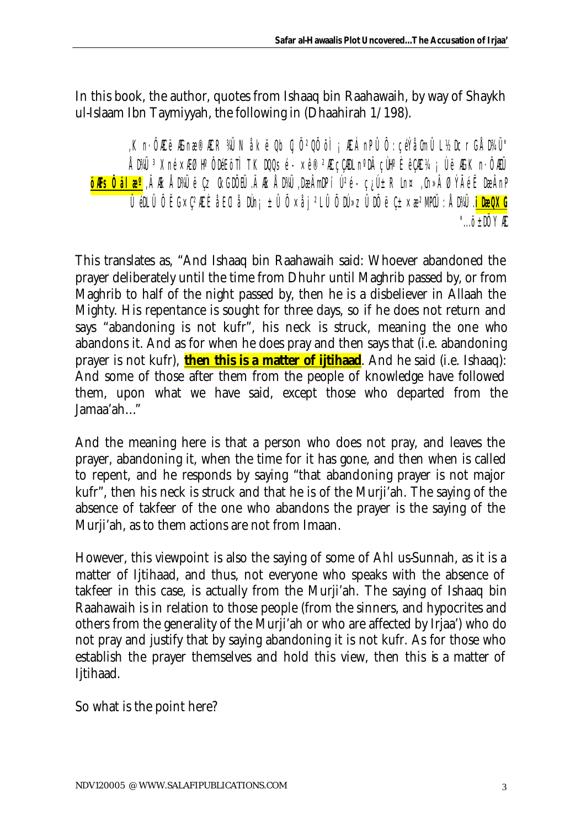In this book, the author, quotes from Ishaaq bin Raahawaih, by way of Shaykh ul-Islaam Ibn Taymiyyah, the following in (Dhaahirah  $1/198$ ).

, Kn· ÖÆ ëÆ næ®Æ R¾J Nåk ëQb ÿ Ö<sup>2</sup>QÕ õl <sub>i</sub> Æ ÁnP ÛÕ : çéÝåûn ÛL ½DcrG ÅD¼Ü" ÅBAÜ <sup>3</sup>Xné ׯØH° ÔDEI öTÌ TKDQLSé - ×ê®2Æ cCADL n°D cÙH° ÈêCÆ ¼ ¡ ÙëÆK n· ÖAÜ <mark>öÆsŐ älæ°</mark> "ÄÆ ÅBAÜ ëÇz (kGDŐEÜ .ÄÆ ÅBAÜ "DæÂmDP í Ú<sup>2</sup>é - ç¿Ú± Rln¤ "(h»Â ØÝÃéË DæÂnP <u>ÛeN Û Ő ËG×Ç2AC È åE CI å Nih; ± Û Ő ×å j 2L Û Ő Ní»zÜ NŐ ë C±×æ2MPOJ : ÅD¾J . <mark>i DæQXG</mark></u> " $\ldots$ ö+DÖYÆ

This translates as, "And Ishaaq bin Raahawaih said: Whoever abandoned the prayer deliberately until the time from Dhuhr until Maghrib passed by, or from Maghrib to half of the night passed by, then he is a disbeliever in Allaah the Mighty. His repentance is sought for three days, so if he does not return and says "abandoning is not kufr", his neck is struck, meaning the one who abandons it. And as for when he does pray and then says that (i.e. abandoning prayer is not kufr), **then this is a matter of ijtihaad**. And he said (i.e. Ishaaq): And some of those after them from the people of knowledge have followed them, upon what we have said, except those who departed from the  $Jamaa'ah...$ 

And the meaning here is that a person who does not pray, and leaves the prayer, abandoning it, when the time for it has gone, and then when is called to repent, and he responds by saying "that abandoning prayer is not major kufr", then his neck is struck and that he is of the Murji'ah. The saying of the absence of takfeer of the one who abandons the prayer is the saying of the Murji'ah, as to them actions are not from Imaan.

However, this viewpoint is also the saying of some of Ahl us-Sunnah, as it is a matter of Ijtihaad, and thus, not everyone who speaks with the absence of takfeer in this case, is actually from the Murji'ah. The saying of Ishaaq bin Raahawaih is in relation to those people (from the sinners, and hypocrites and others from the generality of the Murii'ah or who are affected by Irjaa') who do not pray and justify that by saying abandoning it is not kufr. As for those who establish the prayer themselves and hold this view, then this is a matter of Ijtihaad.

So what is the point here?